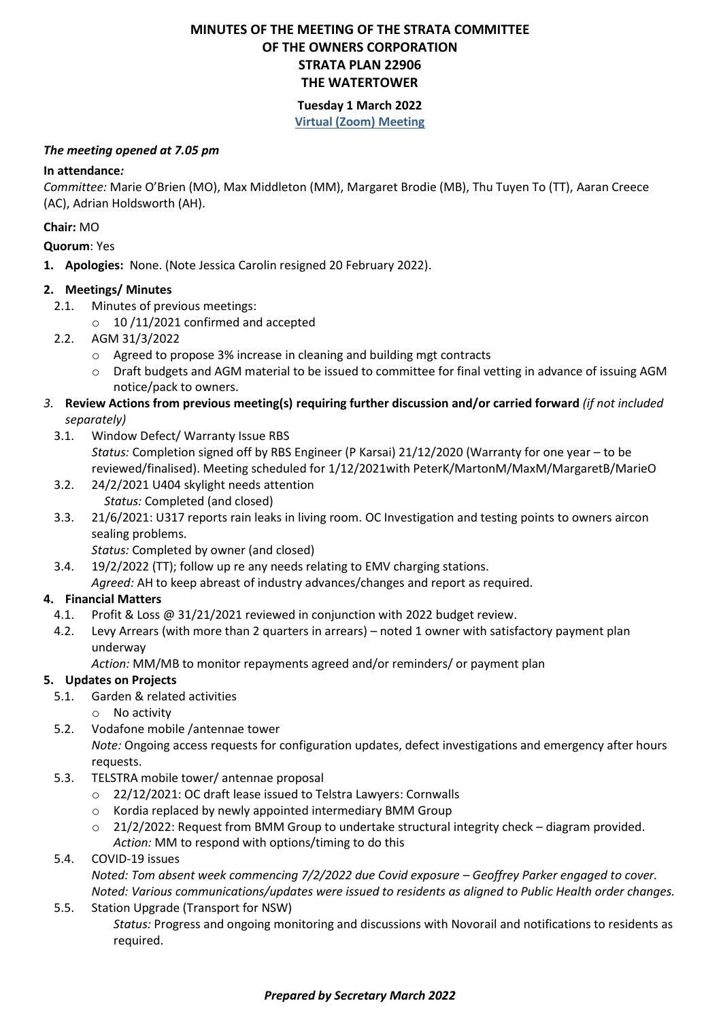# **MINUTES OF THE MEETING OF THE STRATA COMMITTEE OF THE OWNERS CORPORATION STRATA PLAN 22906 THE WATERTOWER**

### **Tuesday 1 March 2022 Virtual (Zoom) Meeting**

#### *The meeting opened at 7.05 pm*

## **In attendance***:*

*Committee:* Marie O'Brien (MO), Max Middleton (MM), Margaret Brodie (MB), Thu Tuyen To (TT), Aaran Creece (AC), Adrian Holdsworth (AH).

### **Chair:** MO

**Quorum**: Yes

**1. Apologies:** None. (Note Jessica Carolin resigned 20 February 2022).

### **2. Meetings/ Minutes**

- 2.1. Minutes of previous meetings:
	- $\circ$  10 /11/2021 confirmed and accepted
- 2.2. AGM 31/3/2022
	- o Agreed to propose 3% increase in cleaning and building mgt contracts
	- o Draft budgets and AGM material to be issued to committee for final vetting in advance of issuing AGM notice/pack to owners.
- *3.* **Review Actions from previous meeting(s) requiring further discussion and/or carried forward** *(if not included separately)*
	- 3.1. Window Defect/ Warranty Issue RBS *Status:* Completion signed off by RBS Engineer (P Karsai) 21/12/2020 (Warranty for one year – to be reviewed/finalised). Meeting scheduled for 1/12/2021with PeterK/MartonM/MaxM/MargaretB/MarieO
	- 3.2. 24/2/2021 U404 skylight needs attention *Status:* Completed (and closed)
	- 3.3. 21/6/2021: U317 reports rain leaks in living room. OC Investigation and testing points to owners aircon sealing problems.

*Status:* Completed by owner (and closed)

3.4. 19/2/2022 (TT); follow up re any needs relating to EMV charging stations.

*Agreed:* AH to keep abreast of industry advances/changes and report as required.

## **4. Financial Matters**

- 4.1. Profit & Loss @ 31/21/2021 reviewed in conjunction with 2022 budget review.
- 4.2. Levy Arrears (with more than 2 quarters in arrears) noted 1 owner with satisfactory payment plan underway

*Action:* MM/MB to monitor repayments agreed and/or reminders/ or payment plan

## **5. Updates on Projects**

- 5.1. Garden & related activities
	- o No activity
- 5.2. Vodafone mobile /antennae tower

*Note:* Ongoing access requests for configuration updates, defect investigations and emergency after hours requests.

- 5.3. TELSTRA mobile tower/ antennae proposal
	- o 22/12/2021: OC draft lease issued to Telstra Lawyers: Cornwalls
	- o Kordia replaced by newly appointed intermediary BMM Group
	- o 21/2/2022: Request from BMM Group to undertake structural integrity check diagram provided. *Action:* MM to respond with options/timing to do this
- 5.4. COVID-19 issues

*Noted: Tom absent week commencing 7/2/2022 due Covid exposure – Geoffrey Parker engaged to cover. Noted: Various communications/updates were issued to residents as aligned to Public Health order changes.*

5.5. Station Upgrade (Transport for NSW) *Status:* Progress and ongoing monitoring and discussions with Novorail and notifications to residents as required.